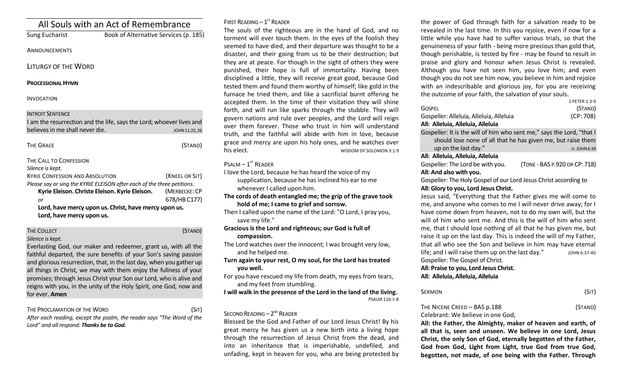| All Souls with an Act of Remembrance                                               |                                       |                |  |  |
|------------------------------------------------------------------------------------|---------------------------------------|----------------|--|--|
| Sung Eucharist                                                                     | Book of Alternative Services (p. 185) |                |  |  |
| ANNOUNCEMENTS                                                                      |                                       |                |  |  |
| LITURGY OF THE WORD                                                                |                                       |                |  |  |
| <b>PROCESSIONAL HYMN</b>                                                           |                                       |                |  |  |
| <b>INVOCATION</b>                                                                  |                                       |                |  |  |
| <b>INTROIT SENTENCE</b>                                                            |                                       |                |  |  |
| I am the resurrection and the life, says the Lord; whoever lives and               |                                       |                |  |  |
| believes in me shall never die.                                                    |                                       | JOHN 11:25, 26 |  |  |
| <b>THE GRACE</b>                                                                   |                                       | (STAND)        |  |  |
| THE CALL TO CONFESSION                                                             |                                       |                |  |  |
| Silence is kept.                                                                   |                                       |                |  |  |
| <b>KYRIE CONFESSION AND ABSOLUTION</b>                                             |                                       | (KNEEL OR SIT) |  |  |
| Please say or sing the KYRIE ELEISON after each of the three petitions.            |                                       |                |  |  |
| Kyrie Eleison. Christe Eleison. Kyrie Eleison.                                     |                                       | (MERBECKE: CP  |  |  |
| or                                                                                 |                                       | 678/HB C177)   |  |  |
| Lord, have mercy upon us. Christ, have mercy upon us.<br>Lord, have mercy upon us. |                                       |                |  |  |

# THE COLLECT **THE COLLECT COLLECT COLLECT COLLECT COLLECT COLLECT COLLECT COLLECT COLLECT COLLECT**

*Silence is kept.*

Everlasting God, our maker and redeemer, grant us, with all the faithful departed, the sure benefits of your Son's saving passion and glorious resurrection, that, in the last day, when you gather up all things in Christ, we may with them enjoy the fullness of your promises; through Jesus Christ your Son our Lord, who is alive and reigns with you, in the unity of the Holy Spirit, one God, now and for ever. **Amen**

THE PROCLAMATION OF THE WORD (SIT)

*After each reading, except the psalm, the reader says "The Word of the Lord" and all respond: Thanks be to God.* 

# FIRST READING  $-1<sup>ST</sup>$  READER

The souls of the righteous are in the hand of God, and no torment will ever touch them. In the eyes of the foolish they seemed to have died, and their departure was thought to be a disaster, and their going from us to be their destruction; but they are at peace. For though in the sight of others they were punished, their hope is full of immortality. Having been disciplined a little, they will receive great good, because God tested them and found them worthy of himself; like gold in the furnace he tried them, and like a sacrificial burnt offering he accepted them. In the time of their visitation they will shine forth, and will run like sparks through the stubble. They will govern nations and rule over peoples, and the Lord will reign over them forever. Those who trust in him will understand truth, and the faithful will abide with him in love, because grace and mercy are upon his holy ones, and he watches over his elect.

# $P$ SALM  $-1$ <sup>ST</sup> READER

I love the Lord, because he has heard the voice of my supplication, because he has inclined his ear to me whenever I called upon him.

**The cords of death entangled me; the grip of the grave took hold of me; I came to grief and sorrow.** 

Then I called upon the name of the Lord: "O Lord, I pray you, save my life."

- **Gracious is the Lord and righteous; our God is full of compassion.**
- The Lord watches over the innocent; I was brought very low, and he helped me.

**Turn again to your rest, O my soul, for the Lord has treated you well.** 

For you have rescued my life from death, my eyes from tears, and my feet from stumbling.

**I will walk in the presence of the Lord in the land of the living.**  PSALM 116:1-8

# SECOND READING  $-2^{ND}$  READER

Blessed be the God and Father of our Lord Jesus Christ! By his great mercy he has given us a new birth into a living hope through the resurrection of Jesus Christ from the dead, and into an inheritance that is imperishable, undefiled, and unfading, kept in heaven for you, who are being protected by

the power of God through faith for a salvation ready to be revealed in the last time. In this you rejoice, even if now for a little while you have had to suffer various trials, so that the genuineness of your faith - being more precious than gold that, though perishable, is tested by fire - may be found to result in praise and glory and honour when Jesus Christ is revealed. Although you have not seen him, you love him; and even though you do not see him now, you believe in him and rejoice with an indescribable and glorious joy, for you are receiving the outcome of your faith, the salvation of your souls.

|                                                                       | 1 PETER 1:3-9 |  |  |
|-----------------------------------------------------------------------|---------------|--|--|
| <b>GOSPEL</b>                                                         | (STAND)       |  |  |
| Gospeller: Alleluia, Alleluia, Alleluia                               | (CP: 708)     |  |  |
| All: Alleluia, Alleluia, Alleluia                                     |               |  |  |
| Gospeller: It is the will of him who sent me," says the Lord, "that I |               |  |  |
| should lose none of all that he has given me, but raise them          |               |  |  |
| up on the last day."                                                  | CF. JOHN 6:39 |  |  |
| All: Alleluia, Alleluia, Alleluia                                     |               |  |  |
| Gospeller: The Lord be with you.<br>(TONE - BAS P.920 OR CP: 718)     |               |  |  |
| All: And also with you.                                               |               |  |  |
| Gospeller: The Holy Gospel of our Lord Jesus Christ according to      |               |  |  |
| All: Glory to you, Lord Jesus Christ.                                 |               |  |  |
| Jesus said, "Everything that the Father gives me will come to         |               |  |  |
| me, and anyone who comes to me I will never drive away; for I         |               |  |  |
| have come down from heaven, not to do my own will, but the            |               |  |  |
| will of him who sent me. And this is the will of him who sent         |               |  |  |
| me, that I should lose nothing of all that he has given me, but       |               |  |  |
| raise it up on the last day. This is indeed the will of my Father,    |               |  |  |
| that all who see the Son and believe in him may have eternal          |               |  |  |
| life; and I will raise them up on the last day."                      | JOHN 6:37-40  |  |  |
| Gospeller: The Gospel of Christ.                                      |               |  |  |
| All: Praise to you, Lord Jesus Christ.                                |               |  |  |
| All: Alleluia, Alleluia, Alleluia                                     |               |  |  |
|                                                                       |               |  |  |

| <b>SERMON</b>                | (SIT)   |
|------------------------------|---------|
| THE NICENE CREED - BAS p.188 | (STAND) |

Celebrant: We believe in one God,

**All: the Father, the Almighty, maker of heaven and earth, of all that is, seen and unseen. We believe in one Lord, Jesus Christ, the only Son of God, eternally begotten of the Father, God from God, Light from Light, true God from true God, begotten, not made, of one being with the Father. Through**